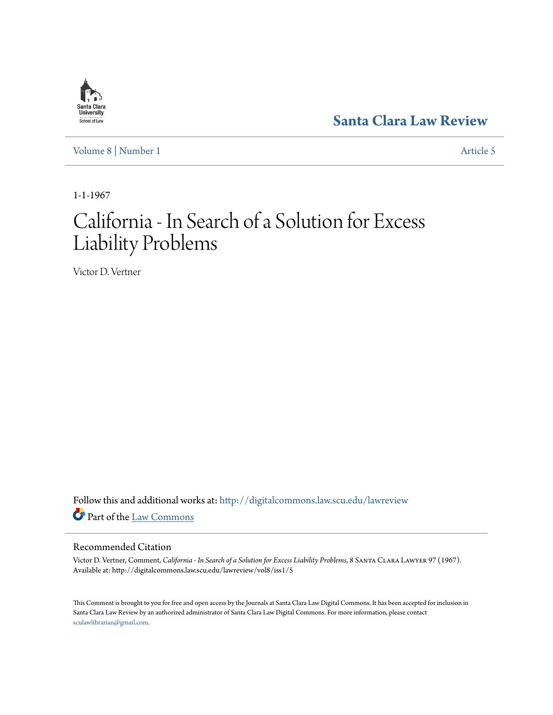# **[Santa Clara Law Review](http://digitalcommons.law.scu.edu/lawreview?utm_source=digitalcommons.law.scu.edu%2Flawreview%2Fvol8%2Fiss1%2F5&utm_medium=PDF&utm_campaign=PDFCoverPages)**

[Volume 8](http://digitalcommons.law.scu.edu/lawreview/vol8?utm_source=digitalcommons.law.scu.edu%2Flawreview%2Fvol8%2Fiss1%2F5&utm_medium=PDF&utm_campaign=PDFCoverPages) | [Number 1](http://digitalcommons.law.scu.edu/lawreview/vol8/iss1?utm_source=digitalcommons.law.scu.edu%2Flawreview%2Fvol8%2Fiss1%2F5&utm_medium=PDF&utm_campaign=PDFCoverPages) [Article 5](http://digitalcommons.law.scu.edu/lawreview/vol8/iss1/5?utm_source=digitalcommons.law.scu.edu%2Flawreview%2Fvol8%2Fiss1%2F5&utm_medium=PDF&utm_campaign=PDFCoverPages)

1-1-1967

# California - In Search of a Solution for Excess Liability Problems

Victor D. Vertner

Follow this and additional works at: [http://digitalcommons.law.scu.edu/lawreview](http://digitalcommons.law.scu.edu/lawreview?utm_source=digitalcommons.law.scu.edu%2Flawreview%2Fvol8%2Fiss1%2F5&utm_medium=PDF&utm_campaign=PDFCoverPages) Part of the [Law Commons](http://network.bepress.com/hgg/discipline/578?utm_source=digitalcommons.law.scu.edu%2Flawreview%2Fvol8%2Fiss1%2F5&utm_medium=PDF&utm_campaign=PDFCoverPages)

## Recommended Citation

Victor D. Vertner, Comment, *California - In Search of a Solution for Excess Liability Problems*, 8 Santa Clara Lawyer 97 (1967). Available at: http://digitalcommons.law.scu.edu/lawreview/vol8/iss1/5

This Comment is brought to you for free and open access by the Journals at Santa Clara Law Digital Commons. It has been accepted for inclusion in Santa Clara Law Review by an authorized administrator of Santa Clara Law Digital Commons. For more information, please contact [sculawlibrarian@gmail.com](mailto:sculawlibrarian@gmail.com).

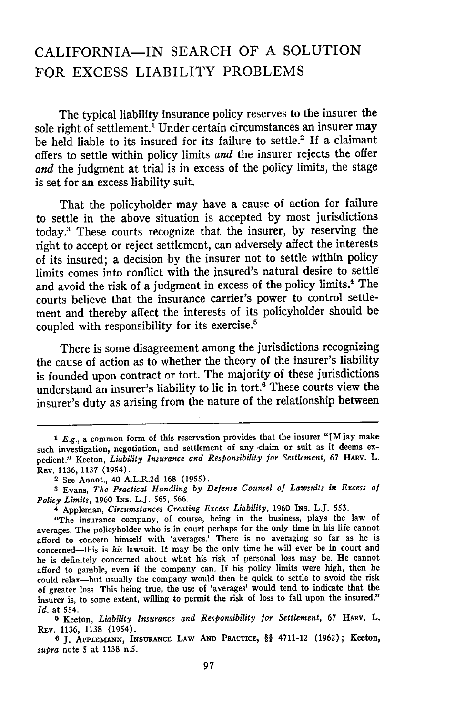## CALIFORNIA-IN SEARCH OF **A** SOLUTION FOR **EXCESS** LIABILITY PROBLEMS

The typical liability insurance policy reserves to the insurer the sole right of settlement.<sup>1</sup> Under certain circumstances an insurer may be held liable to its insured for its failure to settle.<sup>2</sup> If a claimant offers to settle within policy limits and the insurer rejects the offer and the judgment at trial is in excess of the policy limits, the stage is set for an excess liability suit.

That the policyholder may have a cause of action for failure to settle in the above situation is accepted by most jurisdictions today.' These courts recognize that the insurer, by reserving the right to accept or reject settlement, can adversely affect the interests of its insured; a decision by the insurer not to settle within policy limits comes into conflict with the insured's natural desire to settle and avoid the risk of a judgment in excess of the policy limits.4 The courts believe that the insurance carrier's power to control settlement and thereby affect the interests of its policyholder should be coupled with responsibility for its exercise.<sup>5</sup>

There is some disagreement among the jurisdictions recognizing the cause of action as to whether the theory of the insurer's liability is founded upon contract or tort. The majority of these jurisdictions understand an insurer's liability to lie in tort.<sup>6</sup> These courts view the insurer's duty as arising from the nature of the relationship between

**<sup>5</sup>**Keeton, *Liability Insurance and Responsibility for Settlement,* 67 HARv. L. REv. 1136, 1138 (1954).

**6 J.** APPLEMANN, INsURANcE LAW **AND** PRACTICE, §§ 4711-12 **(1962);** Keeton, *supra* note 5 at 1138 n.5.

*<sup>1</sup> E.g.*, a common form of this reservation provides that the insurer "[M]ay make such investigation, negotiation, and settlement of any -claim or suit as it deems expedient." Keeton, *Liability Insurance and Responsibility for Settlement*, 67 HARV. L. REV. 1136, 1137 (1954).

<sup>2</sup> See Annot., 40 A.L.R.2d **168** (1955).

**<sup>3</sup>** Evans, *The Practical Handling by Defense Counsel of Lawsuits in Excess of Policy Limits,* 1960 INs. L.J. 565, 566.

<sup>4</sup> Appleman, *Circumstances Creating Excess Liability,* 1960 INs. L.J. 553.

<sup>&</sup>quot;The insurance company, of course, being in the business, plays the law of averages. The policyholder who is in court perhaps for the only time in his life cannot afford to concern himself with 'averages.' There is no averaging so far as he is concerned-this is *his* lawsuit. It may be the only time he will ever be in court and he is definitely concerned about what his risk of personal loss may be. He cannot afford to gamble, even if the company can. If his policy limits were high, then he could relax-but usually the company would then be quick to settle to avoid the risk of greater loss. This being true, the use of 'averages' would tend to indicate that the insurer is, to some extent, willing to permit the risk of loss to fall upon the insured." *Id.* at 554.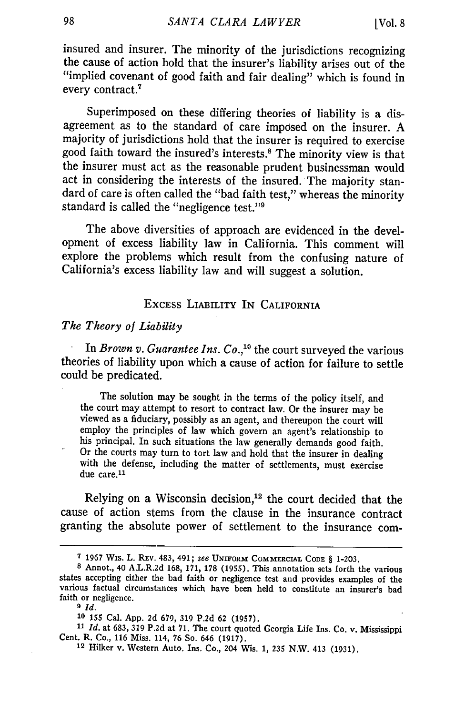insured and insurer. The minority of the jurisdictions recognizing the cause of action hold that the insurer's liability arises out of the "implied covenant of good faith and fair dealing" which is found in every contract.7

Superimposed on these differing theories of liability is a disagreement as to the standard of care imposed on the insurer. A majority of jurisdictions hold that the insurer is required to exercise good faith toward the insured's interests.' The minority view is that the insurer must act as the reasonable prudent businessman would act in considering the interests of the insured. The majority standard of care is often called the "bad faith test," whereas the minority standard is called the "negligence test."<sup>9</sup>

The above diversities of approach are evidenced in the development of excess liability law in California. This comment will explore the problems which result from the confusing nature of California's excess liability law and will suggest a solution.

### EXCESS LIABILITY IN CALIFORNIA

#### *The Theory of Liability*

In *Brown v. Guarantee Ins. Co.,10* the court surveyed the various theories of liability upon which a cause of action for failure to settle could be predicated.

The solution may be sought in the terms of the policy itself, and the court may attempt to resort to contract law. Or the insurer may be viewed as a fiduciary, possibly as an agent, and thereupon the court will employ the principles of law which govern an agent's relationship to his principal. In such situations the law generally demands good faith. Or the courts may turn to tort law and hold that the insurer in dealing with the defense, including the matter of settlements, must exercise due care. $11$ 

Relying on a Wisconsin decision, $12$  the court decided that the cause of action stems from the clause in the insurance contract granting the absolute power of settlement to the insurance com-

**<sup>7</sup>** 1967 Wis. L. REV. 483, 491; see UNIFORM COMMERCIAL CODE § 1-203.<br><sup>8</sup> Annot., 40 A.L.R.2d 168, 171, 178 (1955). This annotation sets forth the various states accepting either the bad faith or negligence test and provides examples of the various factual circumstances which have been held to constitute an insurer's bad faith or negligence.

*<sup>9</sup> Id.*

*<sup>10</sup>* **155** Cal. App. **2d** 679, 319 P.2d 62 (1957).

<sup>&</sup>lt;sup>11</sup> *Id.* at 683, 319 P.2d at 71. The court quoted Georgia Life Ins. Co. v. Mississippi Cent. R. Co., 116 Miss. 114, 76 So. 646 (1917).

<sup>&</sup>lt;sup>12</sup> Hilker v. Western Auto. Ins. Co., 204 Wis. 1, 235 N.W. 413 (1931).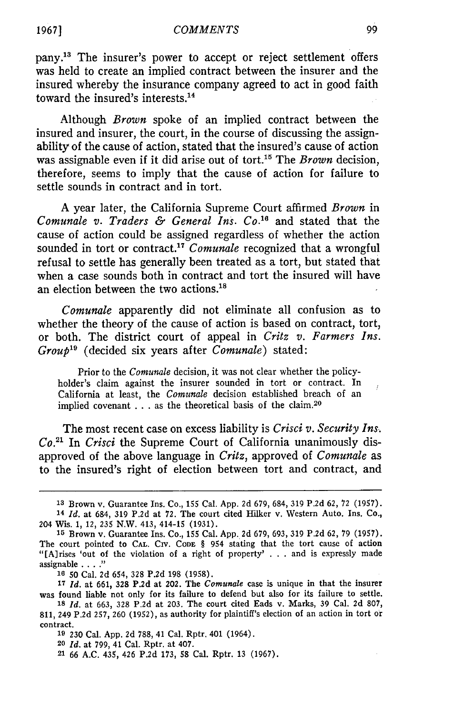pany.'3 The insurer's power to accept or reject settlement offers was held to create an implied contract between the insurer and the insured whereby the insurance company agreed to act in good faith toward the insured's interests.<sup>14</sup>

Although *Brown* spoke of an implied contract between the insured and insurer, the court, in the course of discussing the assignability of the cause of action, stated that the insured's cause of action was assignable even if it did arise out of tort.<sup>15</sup> The *Brown* decision, therefore, seems to imply that the cause of action for failure to settle sounds in contract and in tort.

A year later, the California Supreme Court affirmed *Brown* in *Comunale v. Traders & General Ins. Co. <sup>6</sup>*and stated that the cause of action could be assigned regardless of whether the action sounded in tort or contract.<sup>17</sup> Comunale recognized that a wrongful refusal to settle has generally been treated as a tort, but stated that when a case sounds both in contract and tort the insured will have an election between the two actions.<sup>18</sup>

*Comunale* apparently did not eliminate all confusion as to whether the theory of the cause of action is based on contract, tort, or both. The district court of appeal in *Critz v. Farmers Ins. Group'9* (decided six years after *Comunale)* stated:

Prior to the *Comunale* decision, it was not clear whether the policyholder's claim against the insurer sounded in tort or contract. In California at least, the *Comunale* decision established breach of an implied covenant . . . as the theoretical basis of the claim.20

The most recent case on excess liability is *Crisci v. Security Ins. Co."* In *Crisci* the Supreme Court of California unanimously disapproved of the above language in *Critz,* approved of *Comunale* as to the insured's right of election between tort and contract, and

**<sup>13</sup>** Brown v. Guarantee Ins. Co., 155 Cal. App. 2d 679, 684, 319 P.2d 62, 72 (1957). <sup>14</sup>*Id.* at 684, 319 P.2d at 72. The court cited Hilker v. Western Auto. Ins. Co., 204 Wis. 1, 12, 235 N.W. 413, 414-15 (1931).

**<sup>15</sup>** Brown v. Guarantee Ins. Co., 155 Cal. App. 2d 679, 693, 319 P.2d 62, 79 (1957). The court pointed to **CAL. CIV. CODE** § 954 stating that the tort cause of action "[A]rises 'out of the violation of a right of property' . . . and is expressly made assignable . **.. ."**

**<sup>16</sup>** 50 Cal. 2d 654, 328 P.2d 198 (1958).

*<sup>17</sup> Id.* at **661, 328 P.2d** at 202. The *Comunale* case is unique in that the insurer was found liable not only for its failure to defend but also for its failure to settle. **18** *Id.* at 663, 328 P.2d at 203. The court cited Eads v. Marks, 39 Cal. 2d 807,

<sup>811, 249</sup> P.2d 257, 260 (1952), as authority for plaintiff's election of an action in tort or contract.

**<sup>19</sup>** 230 Cal. App. 2d 788, 41 Cal. Rptr. 401 (1964).

**<sup>20</sup>** *Id.* at 799, 41 Cal. Rptr. at 407.

<sup>21 66</sup> A.C. 435, 426 P.2d 173, 58 Cal. Rptr. 13 (1967).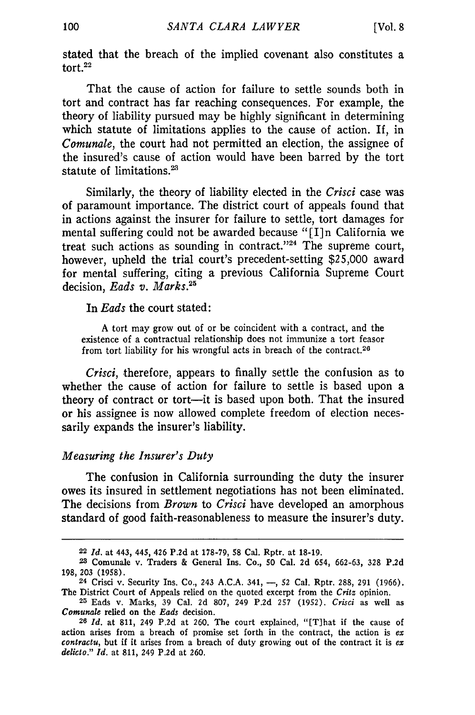stated that the breach of the implied covenant also constitutes a tort $22$ 

That the cause of action for failure to settle sounds both in tort and contract has far reaching consequences. For example, the theory of liability pursued may be **highly** significant in determining which statute of limitations applies to the cause of action. If, in *Comunale,* the court had not permitted an election, the assignee of the insured's cause of action would have been barred **by** the tort statute of limitations.<sup>23</sup>

Similarly, the theory of liability elected in the *Crisci* case was of paramount importance. The district court of appeals found that in actions against the insurer for failure to settle, tort damages for mental suffering could not be awarded because "[I]n California we treat such actions as sounding in contract."<sup>24</sup> The supreme court, however, upheld the trial court's precedent-setting **\$25,000** award for mental suffering, citing a previous California Supreme Court decision, *Eads v. Marks.25*

In *Eads* the court stated:

**A** tort may grow out of or be coincident with a contract, and the existence of a contractual relationship does not immunize a tort feasor from tort liability for his wrongful acts in breach of the contract.<sup>26</sup>

*Crisci,* therefore, appears to finally settle the confusion as to whether the cause of action for failure to settle is based upon a theory of contract or tort-it is based upon both. That the insured or his assignee is now allowed complete freedom of election necessarily expands the insurer's liability.

#### *Measuring the Insurer's Duty*

The confusion in California surrounding the duty the insurer owes its insured in settlement negotiations has not been eliminated. The decisions from *Brown* to *Crisci* have developed an amorphous standard of good faith-reasonableness to measure the insurer's duty.

**<sup>22</sup>***Id.* at 443, 445, 426 P.2d at **178-79, 58** Cal. Rptr. at **18-19.**

**<sup>23</sup>** Comunale v. Traders **&** General Ins. Co., **50** Cal. **2d** 654, **662-63, 328 P.2d 198, 203 (1958).**

**<sup>24</sup>** Crisci v. Security Ins. Co., **243 A.C.A.** 341, **-, 52** Cal. Rptr. **288, 291 (1966).** The District Court of Appeals relied on the quoted excerpt from the *Critz* opinion.

**<sup>25</sup>** Eads v. Marks, **39** Cal. **2d 807,** 249 **P.2d 257 (1952).** *Crisci* as well as *Comunale* relied on the *Eads* decision.

**<sup>26</sup>***Id.* at **811,** 249 **P.2d** at **260.** The court explained, "[T]hat if the cause of action arises from a breach of promise set forth in the contract, the action is *ex contractu,* but if it arises from a breach of duty growing out of the contract it is *ex delicto." Id.* at **811,** 249 **P.2d** at **260.**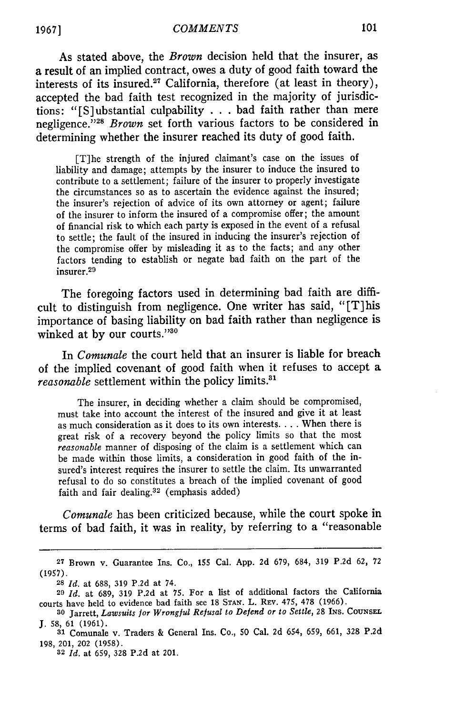As stated above, the *Brown* decision held that the insurer, as a result of an implied contract, owes a duty of good faith toward the interests of its insured.27 California, therefore (at least in theory), accepted the bad faith test recognized in the majority of jurisdictions: "[S]ubstantial culpability **...**bad faith rather than mere negligence.<sup>728</sup> Brown set forth various factors to be considered in determining whether the insurer reached its duty of good faith.

[T]he strength of the injured claimant's case on the issues of liability and damage; attempts by the insurer to induce the insured to contribute to a settlement; failure of the insurer to properly investigate the circumstances so as to ascertain the evidence against the insured; the insurer's rejection of advice of its own attorney or agent; failure of the insurer to inform the insured of a compromise offer; the amount of financial risk to which each party is exposed in the event of a refusal to settle; the fault of the insured in inducing the insurer's rejection of the compromise offer by misleading it as to the facts; and any other factors tending to establish or negate bad faith on the part of the insurer. <sup>29</sup>

The foregoing factors used in determining bad faith are difficult to distinguish from negligence. One writer has said, "[T]his importance of basing liability on bad faith rather than negligence is winked at by our courts."30

In *Comunale* the court held that an insurer is liable for breach of the implied covenant of good faith when it refuses to accept a reasonable settlement within the policy limits.<sup>31</sup>

The insurer, in deciding whether a claim should be compromised, must take into account the interest of the insured and give it at least as much consideration as it does to its own interests **....** When there is great risk of a recovery beyond the policy limits so that the most *reasonable* manner of disposing of the claim is a settlement which can be made within those limits, a consideration in good faith of the insured's interest requires the insurer to settle the claim. Its unwarranted refusal to do so constitutes a breach of the implied covenant of good faith and fair dealing.32 (emphasis added)

*Comunale* has been criticized because, while the court spoke in terms of bad faith, it was in reality, by referring to a "reasonable

**<sup>27</sup>**Brown v. Guarantee Ins. Co., 155 Cal. App. 2d 679, 684, 319 P.2d 62, 72 (1957).

**<sup>28</sup>***Id.* at 688, 319 P.2d at 74.

**<sup>29</sup>***Id.* at 689, 319 P.2d at **75.** For a list of additional factors the California courts have held to evidence bad faith see 18 **STAN.** L. REV. 475, 478 (1966).

**<sup>30</sup>**Jarrett, *Lawsuits for Wrongful Refusal to Defend or to Settle,* 28 INs. CoUNsEL. J. 58, 61 (1961).

**<sup>31</sup>** Comunale v. Traders & General Ins. Co., 50 Cal. 2d 654, 659, 661, 328 P.2d 198, 201, 202 (1958).

**<sup>32</sup>** *Id.* at 659, 328 P.2d at 201.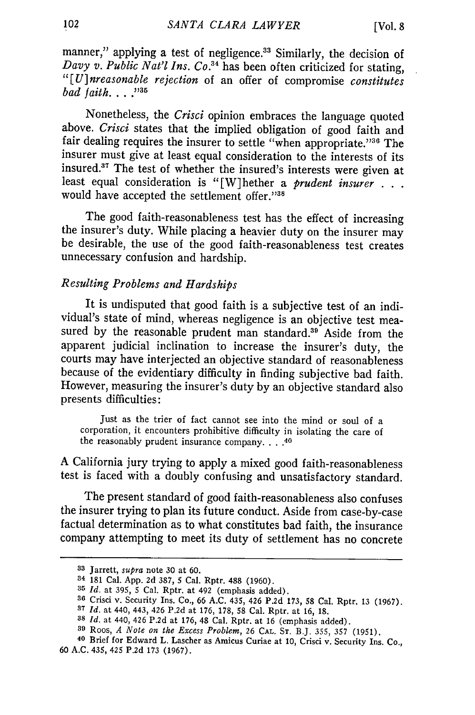manner," applying a test of negligence.<sup>33</sup> Similarly, the decision of *Davy v. Public Nat'l Ins. Co.*<sup>34</sup> has been often criticized for stating, *"[U]nreasonable rejection* of an offer of compromise *constitutes bad faith. ....* 

Nonetheless, the *Crisci* opinion embraces the language quoted above. *Crisci* states that the implied obligation of good faith and fair dealing requires the insurer to settle "when appropriate."36 The insurer must give at least equal consideration to the interests **of** its insured.17 The test of whether the insured's interests were given at least equal consideration is "[W]hether a *prudent insurer . . .* would have accepted the settlement offer."38

The good faith-reasonableness test has the effect of increasing the insurer's duty. While placing a heavier duty on the insurer may be desirable, the use of the good faith-reasonableness test creates unnecessary confusion and hardship.

#### *Resulting Problems and Hardships*

It is undisputed that good faith is a subjective test of an individual's state of mind, whereas negligence is an objective test measured by the reasonable prudent man standard.<sup>39</sup> Aside from the apparent judicial inclination to increase the insurer's duty, the courts may have interjected an objective standard of reasonableness because of the evidentiary difficulty in finding subjective bad faith. However, measuring the insurer's duty **by** an objective standard also presents difficulties:

Just as the trier of fact cannot see into the mind or soul of a corporation, it encounters prohibitive difficulty in isolating the care of the reasonably prudent insurance company **....** <sup>40</sup>

**A** California jury trying to apply a mixed good faith-reasonableness test is faced with a doubly confusing and unsatisfactory standard.

The present standard of good faith-reasonableness also confuses the insurer trying to plan its future conduct. Aside from case-by-case factual determination as to what constitutes bad faith, the insurance company attempting to meet its duty of settlement has no concrete

**<sup>33</sup>**Jarrett, *supra* note **30** at **60.**

**<sup>34 181</sup>** Cal. **App. 2d 387, 5** Cal. Rptr. **488 (1960).**

**<sup>35</sup>***Id.* at **395, 5** Cal. Rptr. at 492 (emphasis added). **<sup>36</sup>**Crisci v. Security Ins. Co., **66 A.C.** 435, 426 **P.2d 173, 58** Cal. Rptr. **13 (1967).**

**<sup>37</sup>***Id.* at 440, 443, 426 **P.2d** at **176, 178, 58** Cal. Rptr. at **16, 18.**

**<sup>38</sup>***Id.* at 440, 426 **P.2d** at **176,** 48 Cal. Rptr. at **16** (emphasis added).

**<sup>39</sup>**Roos, *A Note on the Excess Problem,* 26 CAL. **ST.** B.J. **355, 357 (1951).**

**<sup>40</sup>**Brief for Edward L. Lascher as Amicus Curiae at **10,** Crisci v. Security Ins. Co., **60 A.C.** 435, 425 **P.2d 173 (1967).**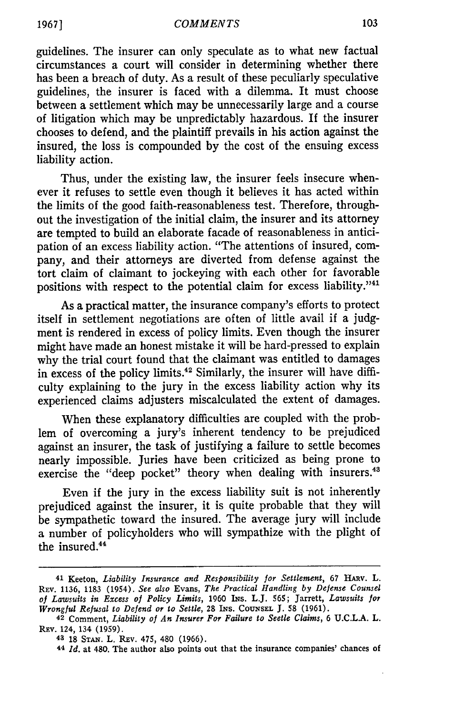guidelines. The insurer can only speculate as to what new factual circumstances a court will consider in determining whether there has been a breach of duty. As a result of these peculiarly speculative guidelines, the insurer is faced with a dilemma. It must choose between a settlement which may be unnecessarily large and a course of litigation which may be unpredictably hazardous. If the insurer chooses to defend, and the plaintiff prevails in his action against the insured, the loss is compounded by the cost of the ensuing excess liability action.

Thus, under the existing law, the insurer feels insecure whenever it refuses to settle even though it believes it has acted within the limits of the good faith-reasonableness test. Therefore, throughout the investigation of the initial claim, the insurer and its attorney are tempted to build an elaborate facade of reasonableness in anticipation of an excess liability action. "The attentions of insured, company, and their attorneys are diverted from defense against the tort claim of claimant to jockeying with each other for favorable positions with respect to the potential claim for excess liability."<sup>41</sup>

As a practical matter, the insurance company's efforts to protect itself in settlement negotiations are often of little avail if a judgment is rendered in excess of policy limits. Even though the insurer might have made an honest mistake it will be hard-pressed to explain why the trial court found that the claimant was entitled to damages in excess of the policy limits.<sup>42</sup> Similarly, the insurer will have difficulty explaining to the jury in the excess liability action why its experienced claims adjusters miscalculated the extent of damages.

When these explanatory difficulties are coupled with the problem of overcoming a jury's inherent tendency to be prejudiced against an insurer, the task of justifying a failure to settle becomes nearly impossible. Juries have been criticized as being prone to exercise the "deep pocket" theory when dealing with insurers.<sup>43</sup>

Even if the jury in the excess liability suit is not inherently prejudiced against the insurer, it is quite probable that they will be sympathetic toward the insured. The average jury will include a number of policyholders who will sympathize with the plight of the insured.<sup>44</sup>

<sup>41</sup> Keeton, *Liability Insurance and Responsibility for Settlement,* 67 HAtv. L. REv. 1136, 1183 (1954). *See also* Evans, *The Practical Handling by Defense Counsel* of *Lawsuits in Excess of Policy Limits,* 1960 INs. L.J. 565; Jarrett, *Lawsuits for Wrongful Refusal to Defend or to Settle,* **28** INs. **CoUNsEL J. 58** (1961).

**<sup>42</sup>** Comment, *Liability of An Insurer For Failure to Seetle Claims,* **6 U.C.L.A.** L. Rav. 124, 134 **(1959).**

<sup>43</sup> **18 STAN.** L. Rav. 475, 480 **(1966).**

**<sup>44</sup>** *Id.* at 480. The author also points out that the insurance companies' chances **of**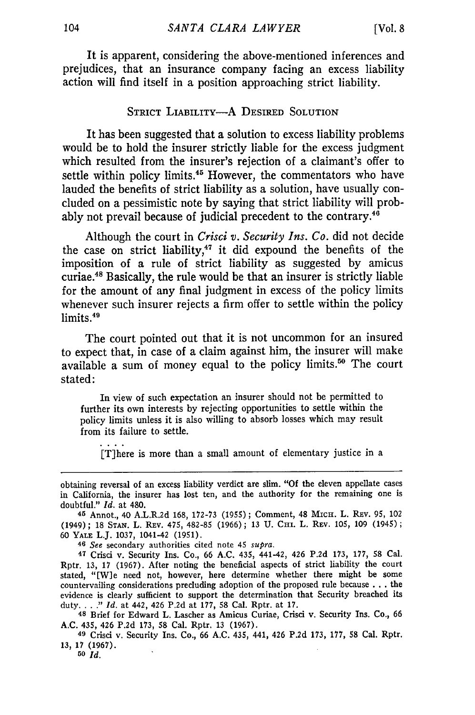It is apparent, considering the above-mentioned inferences and prejudices, that an insurance company facing an excess liability action will find itself in a position approaching strict liability.

#### STRICT LIABILITY-A DESIRED SOLUTION

It has been suggested that a solution to excess liability problems would be to hold the insurer strictly liable for the excess judgment which resulted from the insurer's rejection of a claimant's offer to settle within policy limits.<sup>45</sup> However, the commentators who have lauded the benefits of strict liability as a solution, have usually concluded on a pessimistic note by saying that strict liability will probably not prevail because of judicial precedent to the contrary.<sup>46</sup>

Although the court in *Crisci v. Security Ins. Co.* did not decide the case on strict liability, $47$  it did expound the benefits of the imposition of a rule of strict liability as suggested by amicus curiae.48 Basically, the rule would be that an insurer is strictly liable for the amount of any final judgment in excess of the policy limits whenever such insurer rejects a firm offer to settle within the policy limits.<sup>46</sup>

The court pointed out that it is not uncommon for an insured to expect that, in case of a claim against him, the insurer will make available a sum of money equal to the policy limits.<sup>50</sup> The court stated:

In view of such expectation an insurer should not be permitted to further its own interests by rejecting opportunities to settle within the policy limits unless it is also willing to absorb losses which may result from its failure to settle.

[T]here is more than a small amount of elementary justice in a

*46 See* secondary authorities cited note 45 *supra.*

47 Crisci v. Security Ins. Co., 66 A.C. 435, 441-42, 426 P.2d 173, **177,** 58 Cal. Rptr. 13, 17 (1967). After noting the beneficial aspects of strict liability the court stated, "Wle need not, however, here determine whether there might be some countervailing considerations precluding adoption of the proposed rule because . . . the evidence is clearly sufficient to support the determination that Security breached its duty *.... " Id.* at 442, 426 P.2d at 177, 58 Cal. Rptr. at 17.

**48** Brief for Edward L. Lascher as Amicus Curiae, Crisci v. Security Ins. Co., 66 A.C. 435, 426 P.2d **173,** 58 Cal. Rptr. 13 (1967).

**49** Crisci v. Security Ins. Co., 66 A.C. 435, 441, 426 P.2d 173, 177, **58** Cal. Rptr. **13,** 17 (1967).

**50** *Id.*

obtaining reversal of an excess liability verdict are slim. **"Of** the eleven appellate cases in California, the insurer has lost ten, and the authority for the remaining one is doubtful." *Id.* at 480.

**<sup>45</sup>** Annot., 40 A.L.R.2d 168, 172-73 **(1955);** Comment, 48 MIcH. L. REV. **95,** 102 (1949); 18 STAN. L. REV. 475, 482-85 (1966); 13 U. CHI. L. REV. 105, 109 (1945); 60 YALE L.J. 1037, 1041-42 (1951).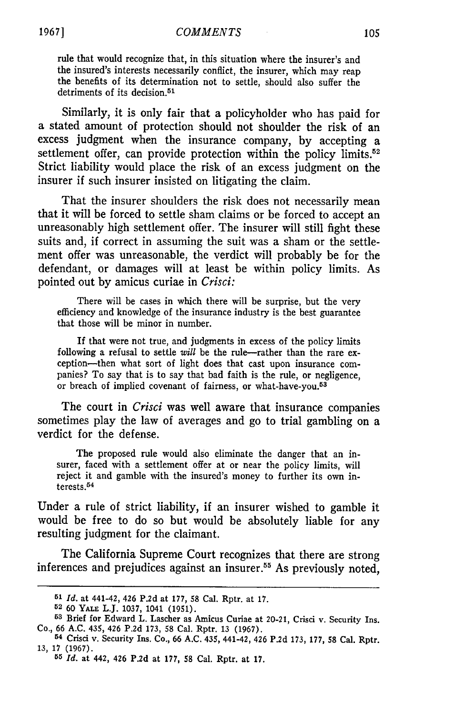rule that would recognize that, in this situation where the insurer's and the insured's interests necessarily conflict, the insurer, which may reap the benefits of its determination not to settle, should also suffer the detriments of its decision.<sup>51</sup>

Similarly, it is only fair that a policyholder who has paid for a stated amount of protection should not shoulder the risk of an excess judgment when the insurance company, by accepting a settlement offer, can provide protection within the policy limits.<sup>52</sup> Strict liability would place the risk of an excess judgment on the insurer if such insurer insisted on litigating the claim.

That the insurer shoulders the risk does not necessarily mean that it will be forced to settle sham claims or be forced to accept an unreasonably high settlement offer. The insurer will still fight these suits and, if correct in assuming the suit was a sham or the settlement offer was unreasonable, the verdict will probably be for the defendant, or damages will at least be within policy limits. As pointed out by amicus curiae in *Crisci:*

There will be cases in which there will be surprise, but the very efficiency **and** knowledge **of** the insurance industry is the best guarantee that those will be minor in number.

If that were not true, and judgments in excess of the policy limits following a refusal to settle *will* be the rule--rather than the rare ex-<br>ception--then what sort of light does that cast upon insurance companies? To say that is to say that bad faith is the rule, or negligence, or breach of implied covenant of fairness, or what-have-you.<sup>53</sup>

The court in *Crisci* was well aware that insurance companies sometimes play the law of averages and go to trial gambling on a verdict for the defense.

The proposed rule would also eliminate the danger that an insurer, faced with a settlement offer at or near the policy limits, will reject it and gamble with the insured's money to further its own interests.

Under a rule of strict liability, if an insurer wished to gamble it would be free to do so but would be absolutely liable for any resulting judgment for the claimant.

The California Supreme Court recognizes that there are strong inferences and prejudices against an insurer.<sup>55</sup> As previously noted,

**<sup>51</sup>***Id.* **at** 441-42, 426 **P.2d at 177, 58 Cal. Rptr. at 17.**

**<sup>52</sup> 60** YALE L.J. **1037,** 1041 **(1951).**

**<sup>53</sup>**Brief for Edward L. **Lascher** as **Amicus Curiae** at 20-21, **Crisci** v. Security Ins. Co., **66 A.C.** 435, **426 P.2d 173, 58** Cal. Rptr. **13 (1967). 54 Crisci** v. Security **Ins.** Co., **66 A.C.** 435, 441-42, **426 P.2d 173, 177, 58** Cal. Rptr.

**<sup>13, 17 (1967).</sup>**

**<sup>55</sup>***Id.* **at** 442, **426 P.2d at 177, 58** Cal. Rptr. **at 17.**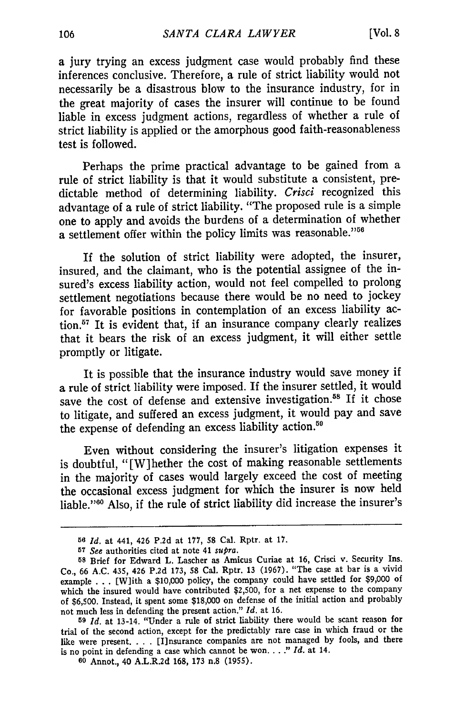a jury trying an excess judgment case would probably find these inferences conclusive. Therefore, a rule of strict liability would not necessarily be a disastrous blow to the insurance industry, for in the great majority of cases the insurer will continue to be found liable in excess judgment actions, regardless of whether a rule of strict liability is applied or the amorphous good faith-reasonableness test is followed.

Perhaps the prime practical advantage to be gained from a rule of strict liability is that it would substitute a consistent, predictable method of determining liability. *Crisci* recognized this advantage of a rule of strict liability. "The proposed rule is a simple one to apply and avoids the burdens of a determination of whether a settlement offer within the policy limits was reasonable."<sup>56</sup>

If the solution of strict liability were adopted, the insurer, insured, and the claimant, who is the potential assignee of the insured's excess liability action, would not feel compelled to prolong settlement negotiations because there would be no need to jockey for favorable positions in contemplation of an excess liability ac**tion.17** It is evident that, if an insurance company clearly realizes that it bears the risk of an excess judgment, it will either settle promptly or litigate.

It is possible that the insurance industry would save money if a rule of strict liability were imposed. If the insurer settled, it would save the cost of defense and extensive investigation.<sup>58</sup> If it chose to litigate, and suffered an excess judgment, it would pay and save the expense of defending an excess liability action.<sup>59</sup>

Even without considering the insurer's litigation expenses it is doubtful, "[W]hether the cost of making reasonable settlements in the majority of cases would largely exceed the cost of meeting the occasional excess judgment for which the insurer is now held liable."'6 Also, if the rule of strict liability did increase the insurer's

**<sup>56</sup>***Id.* at 441, 426 P.2d at 177, 58 Cal. Rptr. at **17.**

**<sup>57</sup>** *See* authorities cited at note 41 *supra.*

**<sup>58</sup>**Brief for Edward L. Lascher as Amicus Curiae at **16,** Crisci v. Security Ins. Co., **66** A.C. 435, 426 **P.2d** 173, 58 Cal. Rptr. 13 (1967). "The case at bar is a vivid example . . . [W]ith a **\$10,000** policy, the company could have settled for **\$9,000** of which the insured would have contributed **\$2,500,** for a net expense to the company of **\$6,500.** Instead, it spent some **\$18,000** on defense of the initial action and probably not much less in defending the present action." *Id.* at **16.**

**<sup>59</sup>** *Id.* at 13-14. "Under a rule of strict liability there would be scant reason for trial of the second action, except for the predictably rare case in which fraud or the like were present. . . . [I]nsurance companies are not managed by fools, and there is no point in defending a case which cannot be won **....** " *Id.* at 14.

**<sup>60</sup>** Annot., 40 A.L.R.2d 168, **173** n.8 (1955).